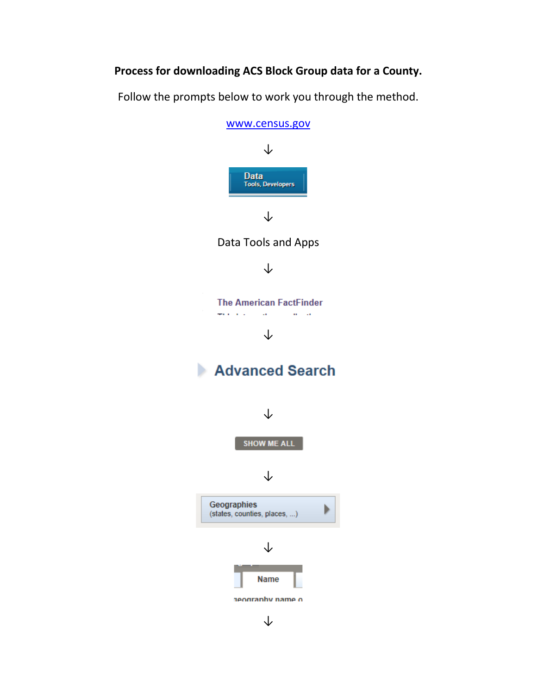## **Process for downloading ACS Block Group data for a County.**

Follow the prompts below to work you through the method.

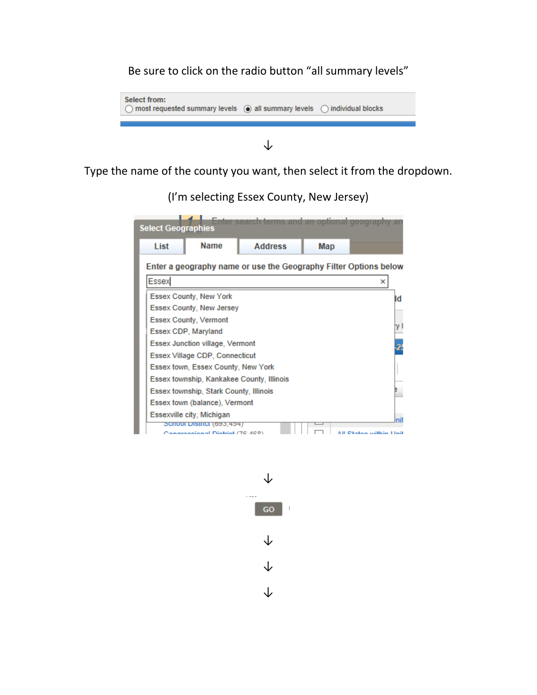## Be sure to click on the radio button "all summary levels"



## ↓

Type the name of the county you want, then select it from the dropdown.

(I'm selecting Essex County, New Jersey)

|  | <b>Select Geographies</b>                                                           |                                                                | Enter search terms and an optional geography |     |             |  |
|--|-------------------------------------------------------------------------------------|----------------------------------------------------------------|----------------------------------------------|-----|-------------|--|
|  | List                                                                                | <b>Name</b>                                                    | <b>Address</b>                               | Map |             |  |
|  | Enter a geography name or use the Geography Filter Options below                    |                                                                |                                              |     |             |  |
|  | <b>Essex</b><br>×                                                                   |                                                                |                                              |     |             |  |
|  |                                                                                     | Essex County, New York                                         |                                              |     | Id          |  |
|  |                                                                                     | Essex County, New Jersey                                       |                                              |     |             |  |
|  |                                                                                     | <b>Essex County, Vermont</b>                                   |                                              |     |             |  |
|  |                                                                                     | Essex CDP, Maryland                                            |                                              |     | y.          |  |
|  |                                                                                     | <b>Essex Junction village, Vermont</b>                         |                                              |     |             |  |
|  | Essex Village CDP, Connecticut                                                      |                                                                |                                              |     |             |  |
|  | Essex town, Essex County, New York                                                  |                                                                |                                              |     |             |  |
|  | Essex township, Kankakee County, Illinois<br>Essex township, Stark County, Illinois |                                                                |                                              |     |             |  |
|  |                                                                                     |                                                                |                                              |     |             |  |
|  | Essex town (balance), Vermont                                                       |                                                                |                                              |     |             |  |
|  |                                                                                     | Essexville city, Michigan                                      |                                              |     | nit         |  |
|  |                                                                                     | <b>SCHOOF DISHICT (095,454)</b><br>groomings Digitial (70 ACO) |                                              |     | sa milkin L |  |

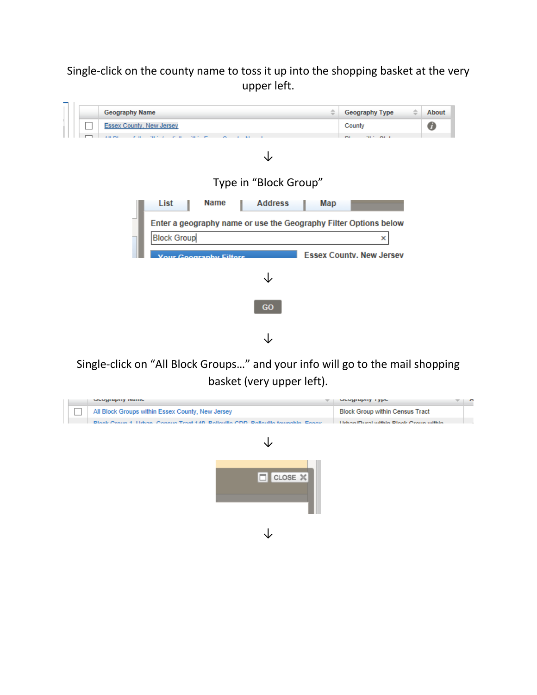## Single-click on the county name to toss it up into the shopping basket at the very upper left.



Single-click on "All Block Groups…" and your info will go to the mail shopping basket (very upper left).

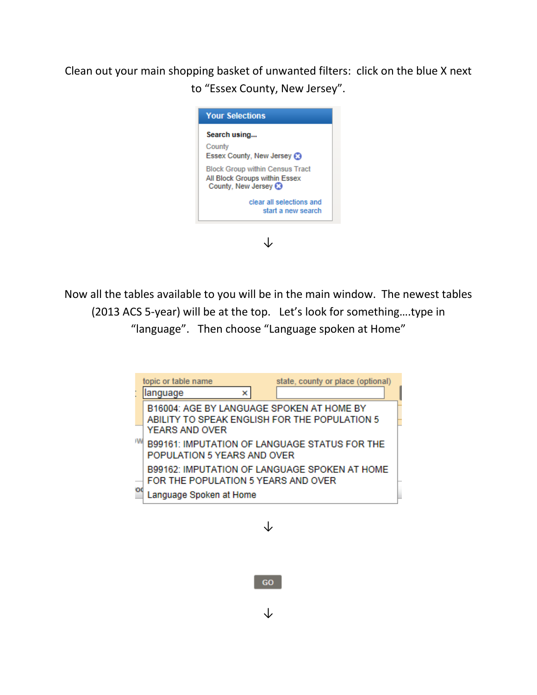Clean out your main shopping basket of unwanted filters: click on the blue X next to "Essex County, New Jersey".



Now all the tables available to you will be in the main window. The newest tables (2013 ACS 5-year) will be at the top. Let's look for something….type in "language". Then choose "Language spoken at Home"

|     | state, county or place (optional)<br>topic or table name<br>language<br>×                                    |  |  |  |  |
|-----|--------------------------------------------------------------------------------------------------------------|--|--|--|--|
| ۱W  | B16004: AGE BY LANGUAGE SPOKEN AT HOME BY<br>ABILITY TO SPEAK ENGLISH FOR THE POPULATION 5<br>YEARS AND OVER |  |  |  |  |
|     | B99161: IMPUTATION OF LANGUAGE STATUS FOR THE<br>POPULATION 5 YEARS AND OVER                                 |  |  |  |  |
| lod | B99162: IMPUTATION OF LANGUAGE SPOKEN AT HOME<br>FOR THE POPULATION 5 YEARS AND OVER                         |  |  |  |  |
|     | Language Spoken at Home                                                                                      |  |  |  |  |

↓

GO

↓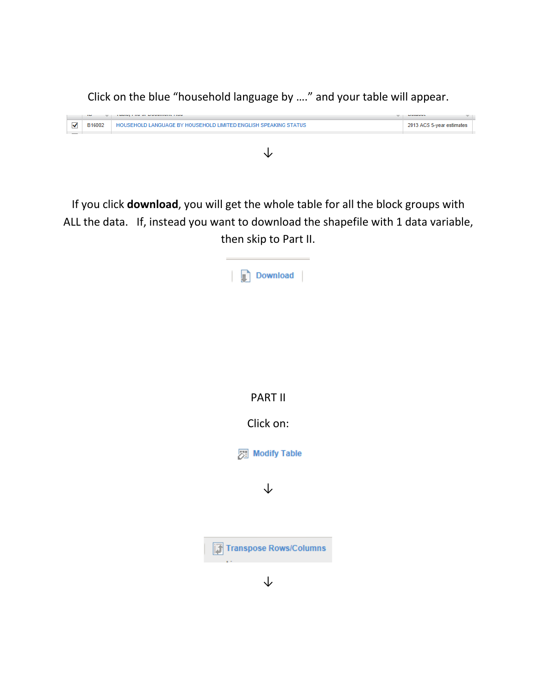Click on the blue "household language by …." and your table will appear.



If you click **download**, you will get the whole table for all the block groups with ALL the data. If, instead you want to download the shapefile with 1 data variable, then skip to Part II.

| Download               |
|------------------------|
|                        |
|                        |
|                        |
| <b>PART II</b>         |
| Click on:              |
| Modify Table           |
| ↓                      |
|                        |
| Transpose Rows/Columns |
| L                      |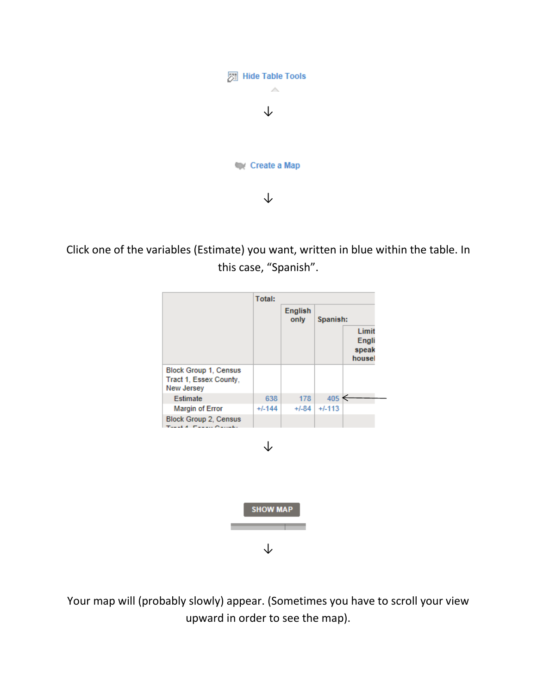

Click one of the variables (Estimate) you want, written in blue within the table. In this case, "Spanish".



↓

Your map will (probably slowly) appear. (Sometimes you have to scroll your view upward in order to see the map).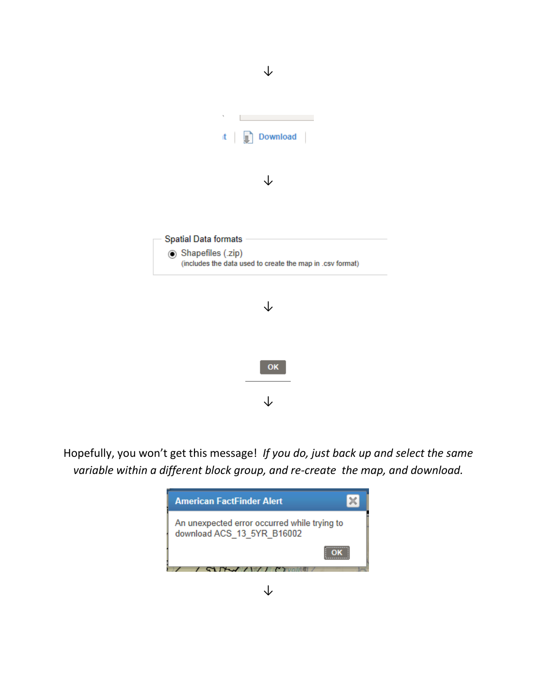

Hopefully, you won't get this message! *If you do, just back up and select the same variable within a different block group, and re-create the map, and download.*